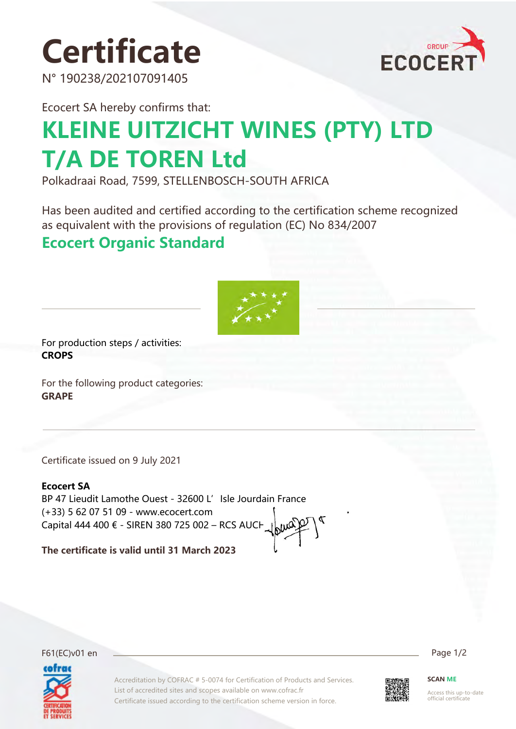# **Certificate**

N° 190238/202107091405



Ecocert SA hereby confirms that:

# **KLEINE UITZICHT WINES (PTY) LTD T/A DE TOREN Ltd**

Polkadraai Road, 7599, STELLENBOSCH-SOUTH AFRICA

Has been audited and certified according to the certification scheme recognized as equivalent with the provisions of regulation (EC) No 834/2007

### **Ecocert Organic Standard**



For production steps / activities: **CROPS**

For the following product categories: **GRAPE**

Certificate issued on 9 July 2021

#### **Ecocert SA**

BP 47 Lieudit Lamothe Ouest - 32600 L' Isle Jourdain France (+33) 5 62 07 51 09 - www.ecocert.com Capital 444 400 € - SIREN 380 725 002 – RCS AUCH

**The certificate is valid until 31 March 2023**

F61(EC)v01 en Page 1/2



Accreditation by COFRAC # 5-0074 for Certification of Products and Services. List of accredited sites and scopes available on www.cofrac.fr Certificate issued according to the certification scheme version in force.



**SCAN ME**

Access this up-to-date official certificate